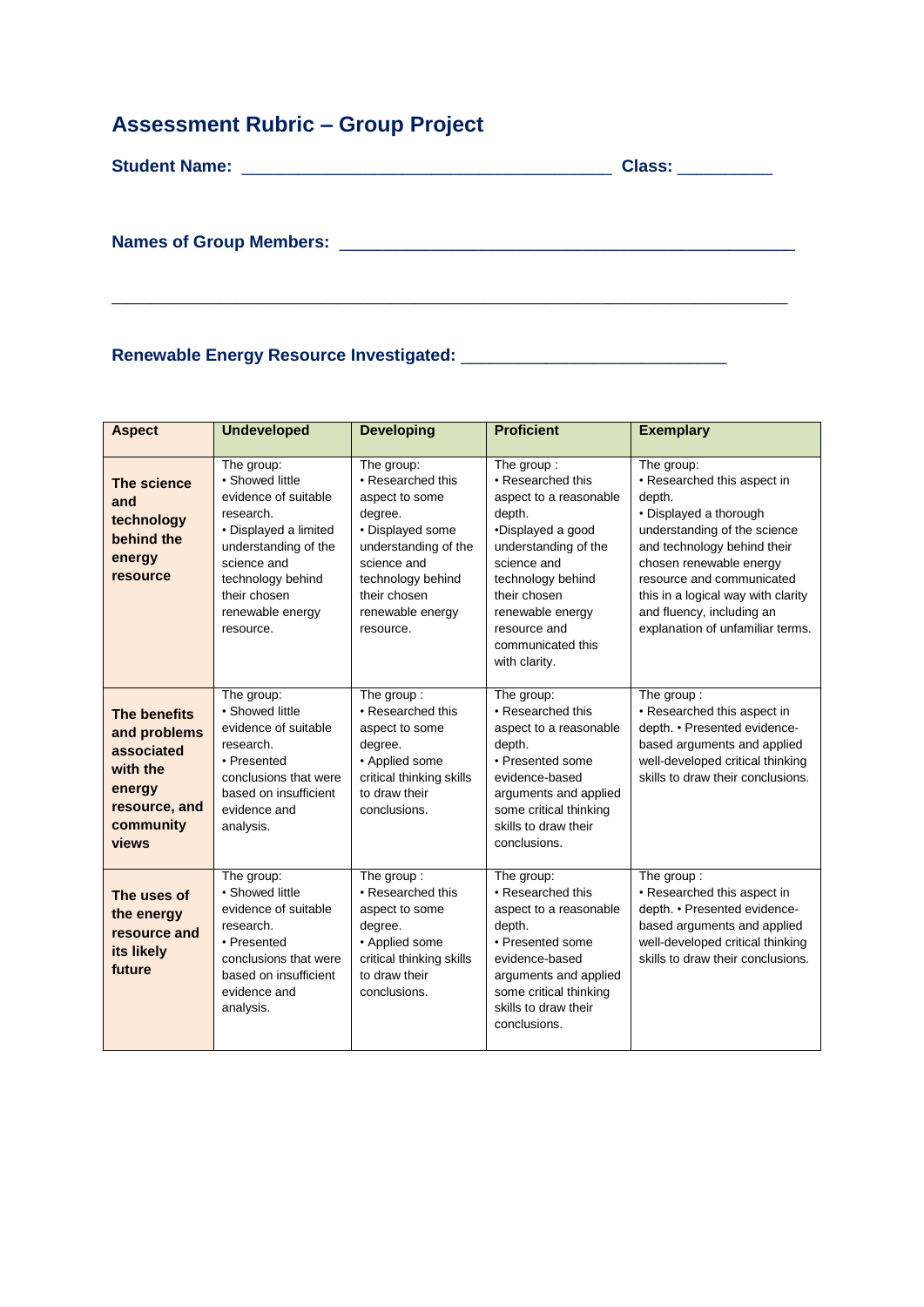## **Assessment Rubric – Group Project**

| Class: __________                                      |
|--------------------------------------------------------|
|                                                        |
|                                                        |
|                                                        |
| Names of Group Members: <u>Names of Group Members:</u> |
|                                                        |
|                                                        |
|                                                        |

## **Renewable Energy Resource Investigated:** \_\_\_\_\_\_\_\_\_\_\_\_\_\_\_\_\_\_\_\_\_\_\_\_\_\_\_\_

| <b>Aspect</b>                                                                                           | <b>Undeveloped</b>                                                                                                                                                                                       | <b>Developing</b>                                                                                                                                                                             | <b>Proficient</b>                                                                                                                                                                                                                              | <b>Exemplary</b>                                                                                                                                                                                                                                                                                            |
|---------------------------------------------------------------------------------------------------------|----------------------------------------------------------------------------------------------------------------------------------------------------------------------------------------------------------|-----------------------------------------------------------------------------------------------------------------------------------------------------------------------------------------------|------------------------------------------------------------------------------------------------------------------------------------------------------------------------------------------------------------------------------------------------|-------------------------------------------------------------------------------------------------------------------------------------------------------------------------------------------------------------------------------------------------------------------------------------------------------------|
| The science<br>and<br>technology<br>behind the<br>energy<br>resource                                    | The group:<br>• Showed little<br>evidence of suitable<br>research.<br>• Displayed a limited<br>understanding of the<br>science and<br>technology behind<br>their chosen<br>renewable energy<br>resource. | The group:<br>• Researched this<br>aspect to some<br>degree.<br>· Displayed some<br>understanding of the<br>science and<br>technology behind<br>their chosen<br>renewable energy<br>resource. | The group:<br>• Researched this<br>aspect to a reasonable<br>depth.<br>•Displayed a good<br>understanding of the<br>science and<br>technology behind<br>their chosen<br>renewable energy<br>resource and<br>communicated this<br>with clarity. | The group:<br>• Researched this aspect in<br>depth.<br>• Displayed a thorough<br>understanding of the science<br>and technology behind their<br>chosen renewable energy<br>resource and communicated<br>this in a logical way with clarity<br>and fluency, including an<br>explanation of unfamiliar terms. |
| The benefits<br>and problems<br>associated<br>with the<br>energy<br>resource, and<br>community<br>views | The group:<br>• Showed little<br>evidence of suitable<br>research.<br>• Presented<br>conclusions that were<br>based on insufficient<br>evidence and<br>analysis.                                         | The group:<br>• Researched this<br>aspect to some<br>degree.<br>• Applied some<br>critical thinking skills<br>to draw their<br>conclusions.                                                   | The group:<br>• Researched this<br>aspect to a reasonable<br>depth.<br>• Presented some<br>evidence-based<br>arguments and applied<br>some critical thinking<br>skills to draw their<br>conclusions.                                           | The group:<br>• Researched this aspect in<br>depth. • Presented evidence-<br>based arguments and applied<br>well-developed critical thinking<br>skills to draw their conclusions.                                                                                                                           |
| The uses of<br>the energy<br>resource and<br>its likely<br>future                                       | The group:<br>• Showed little<br>evidence of suitable<br>research.<br>• Presented<br>conclusions that were<br>based on insufficient<br>evidence and<br>analysis.                                         | The group:<br>• Researched this<br>aspect to some<br>degree.<br>• Applied some<br>critical thinking skills<br>to draw their<br>conclusions.                                                   | The group:<br>• Researched this<br>aspect to a reasonable<br>depth.<br>• Presented some<br>evidence-based<br>arguments and applied<br>some critical thinking<br>skills to draw their<br>conclusions.                                           | The group:<br>• Researched this aspect in<br>depth. • Presented evidence-<br>based arguments and applied<br>well-developed critical thinking<br>skills to draw their conclusions.                                                                                                                           |